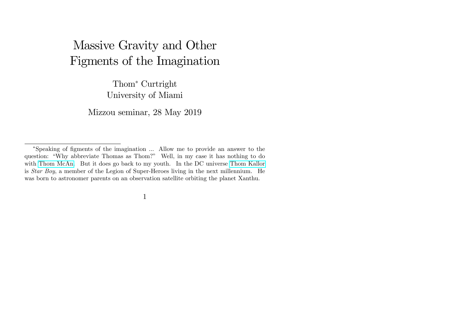# Massive Gravity and Other Figments of the Imagination

Thom<sup>\*</sup> Curtright University of Miami

Mizzou seminar, 28 May 2019

<sup>\*</sup>Speaking of figments of the imagination ... Allow me to provide an answer to the question: "Why abbreviate Thomas as Thom?" Well, in my case it has nothing to do with [Thom McAn.](https://pdsh.fandom.com/wiki/Thom_McAn) But it does go back to my youth. In the DC universe [Thom Kallor](https://en.wikipedia.org/wiki/Thom_Kallor) is Star Boy, a member of the Legion of Super-Heroes living in the next millennium. He was born to astronomer parents on an observation satellite orbiting the planet Xanthu.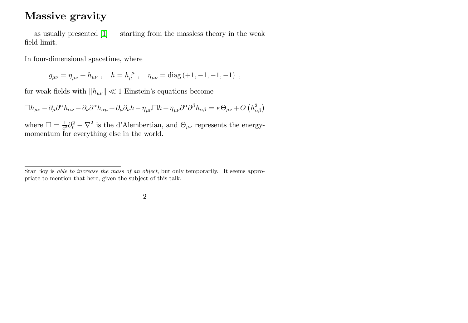### Massive gravity

 $\sim$  as usually presented  $[1]$   $\sim$  starting from the massless theory in the weak field limit.

In four-dimensional spacetime, where

 $g_{\mu\nu} = \eta_{\mu\nu} + h_{\mu\nu}$ ,  $h = h_{\mu}^{\ \mu}$ ,  $\eta_{\mu\nu} = \text{diag}(-1, -1, -1, -1)$ ,

for weak fields with  $\|h_{\mu\nu}\|\ll 1$  Einstein's equations become

 $\Box h_{\mu\nu} - \partial_{\mu}\partial^{\alpha}h_{\alpha\nu} - \partial_{\nu}\partial^{\alpha}h_{\alpha\mu} + \partial_{\mu}\partial_{\nu}h - \eta_{\mu\nu}\Box h + \eta_{\mu\nu}\partial^{\alpha}\partial^{\beta}h_{\alpha\beta} = \kappa\Theta_{\mu\nu} + O\left(h_{\alpha\beta}^2\right)$ 

where  $\Box = \frac{1}{c^2}$  $\frac{1}{c^2}\partial_t^2 - \nabla^2$  is the d'Alembertian, and  $\Theta_{\mu\nu}$  represents the energymomentum for everything else in the world.

Star Boy is able to increase the mass of an object, but only temporarily. It seems appropriate to mention that here, given the subject of this talk.

<sup>2</sup>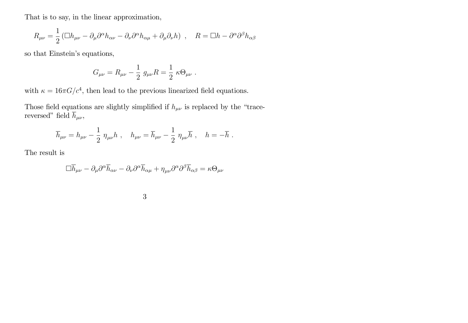That is to say, in the linear approximation,

$$
R_{\mu\nu} = \frac{1}{2} \left( \Box h_{\mu\nu} - \partial_{\mu} \partial^{\alpha} h_{\alpha\nu} - \partial_{\nu} \partial^{\alpha} h_{\alpha\mu} + \partial_{\mu} \partial_{\nu} h \right) , \quad R = \Box h - \partial^{\alpha} \partial^{\beta} h_{\alpha\beta}
$$

so that Einstein's equations,

$$
G_{\mu\nu} = R_{\mu\nu} - \frac{1}{2} g_{\mu\nu} R = \frac{1}{2} \kappa \Theta_{\mu\nu} .
$$

with  $\kappa = 16\pi G/c^4$ , then lead to the previous linearized field equations.

Those field equations are slightly simplified if  $h_{\mu\nu}$  is replaced by the "tracereversed" field  $\overline{h}_{\mu\nu}$ ,

$$
\overline{h}_{\mu\nu} = h_{\mu\nu} - \frac{1}{2} \eta_{\mu\nu} h \ , \quad h_{\mu\nu} = \overline{h}_{\mu\nu} - \frac{1}{2} \eta_{\mu\nu} \overline{h} \ , \quad h = -\overline{h} \ .
$$

The result is

$$
\Box \overline{h}_{\mu\nu}-\partial_\mu\partial^\alpha \overline{h}_{\alpha\nu}-\partial_\nu\partial^\alpha \overline{h}_{\alpha\mu}+\eta_{\mu\nu}\partial^\alpha\partial^\beta \overline{h}_{\alpha\beta}=\kappa\Theta_{\mu\nu}
$$

| ×  | ۱       |   |  |
|----|---------|---|--|
|    |         |   |  |
| M. | ۰.<br>v | I |  |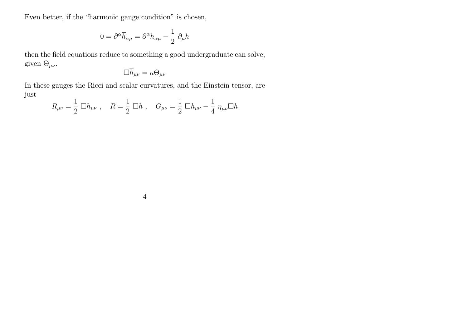Even better, if the "harmonic gauge condition" is chosen,

$$
0 = \partial^{\alpha} \overline{h}_{\alpha\mu} = \partial^{\alpha} h_{\alpha\mu} - \frac{1}{2} \partial_{\mu} h
$$

then the field equations reduce to something a good undergraduate can solve, given  $\Theta_{\mu\nu}$ .

$$
\Box \overline{h}_{\mu\nu} = \kappa \Theta_{\mu\nu}
$$

In these gauges the Ricci and scalar curvatures, and the Einstein tensor, are just

$$
R_{\mu\nu} = \frac{1}{2} \Box h_{\mu\nu} , \quad R = \frac{1}{2} \Box h , \quad G_{\mu\nu} = \frac{1}{2} \Box h_{\mu\nu} - \frac{1}{4} \eta_{\mu\nu} \Box h
$$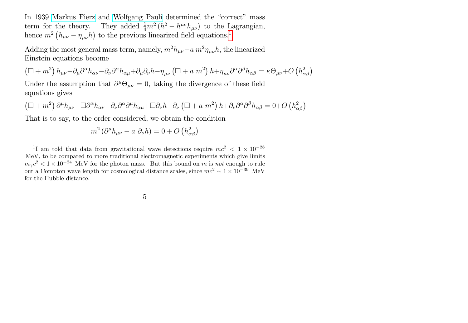In 1939 [Markus Fierz](https://en.wikipedia.org/wiki/Markus_Fierz) and [Wolfgang Pauli](https://en.wikipedia.org/wiki/Wolfgang_Pauli) determined the "correct" mass term for the theory. They added  $\frac{1}{4}m^2(h^2 - h^{\mu\nu}h_{\mu\nu})$  to the Lagrangian, hence  $m^2 (h_{\mu\nu} - \eta_{\mu\nu} h)$  to the previous linearized field equations.<sup>[1](#page-4-0)</sup>

Adding the most general mass term, namely,  $m^2 h_{\mu\nu} - a m^2 \eta_{\mu\nu} h$ , the linearized Einstein equations become

$$
\left(\Box + m^2\right)h_{\mu\nu} - \partial_{\mu}\partial^{\alpha}h_{\alpha\nu} - \partial_{\nu}\partial^{\alpha}h_{\alpha\mu} + \partial_{\mu}\partial_{\nu}h - \eta_{\mu\nu}\left(\Box + a m^2\right)h + \eta_{\mu\nu}\partial^{\alpha}\partial^{\beta}h_{\alpha\beta} = \kappa\Theta_{\mu\nu} + O\left(h_{\alpha\beta}^2\right)
$$

Under the assumption that  $\partial^{\mu} \Theta_{\mu\nu} = 0$ , taking the divergence of these field equations gives

$$
\left(\Box + m^2\right)\partial^{\mu}h_{\mu\nu} - \Box \partial^{\alpha}h_{\alpha\nu} - \partial_{\nu}\partial^{\alpha}\partial^{\mu}h_{\alpha\mu} + \Box \partial_{\nu}h - \partial_{\nu}\left(\Box + a m^2\right)h + \partial_{\nu}\partial^{\alpha}\partial^{\beta}h_{\alpha\beta} = 0 + O\left(h_{\alpha\beta}^2\right)
$$

That is to say, to the order considered, we obtain the condition

$$
m^2 \left(\partial^{\mu} h_{\mu\nu} - a \partial_{\nu} h\right) = 0 + O\left(h_{\alpha\beta}^2\right)
$$

<span id="page-4-0"></span><sup>&</sup>lt;sup>1</sup>I am told that data from gravitational wave detections require  $mc^2 < 1 \times 10^{-28}$ MeV, to be compared to more traditional electromagnetic experiments which give limits  $m_{\gamma}c^2 < 1 \times 10^{-24}$  MeV for the photon mass. But this bound on m is not enough to rule out a Compton wave length for cosmological distance scales, since  $mc^2 \sim 1 \times 10^{-39}$  MeV for the Hubble distance.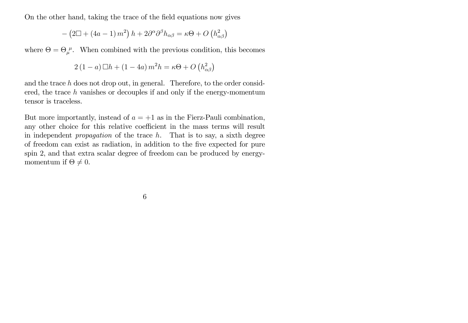On the other hand, taking the trace of the field equations now gives

$$
-\left(2\Box + \left(4a - 1\right)m^2\right)h + 2\partial^{\alpha}\partial^{\beta}h_{\alpha\beta} = \kappa\Theta + O\left(h_{\alpha\beta}^2\right)
$$

where  $\Theta = \Theta_{\mu}^{\mu}$ . When combined with the previous condition, this becomes

$$
2(1-a)\Box h + (1-4a)\,m^2h = \kappa\Theta + O\left(h_{\alpha\beta}^2\right)
$$

and the trace  $h$  does not drop out, in general. Therefore, to the order considered, the trace  $h$  vanishes or decouples if and only if the energy-momentum tensor is traceless.

But more importantly, instead of  $a = +1$  as in the Fierz-Pauli combination, any other choice for this relative coefficient in the mass terms will result in independent *propagation* of the trace  $h$ . That is to say, a sixth degree of freedom can exist as radiation, in addition to the Öve expected for pure spin 2, and that extra scalar degree of freedom can be produced by energymomentum if  $\Theta \neq 0$ .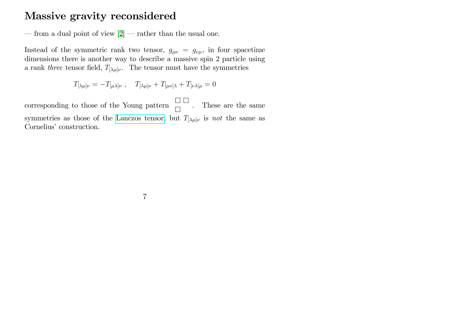#### Massive gravity reconsidered

— from a dual point of view  $[2]$  — rather than the usual one.

Instead of the symmetric rank two tensor,  $g_{\mu\nu} = g_{\nu\mu}$ , in four spacetime dimensions there is another way to describe a massive spin 2 particle using a rank three tensor field,  $T_{[\lambda\mu]\nu}$ . The tensor must have the symmetries

$$
T_{[\lambda\mu]\nu}=-T_{[\mu\lambda]\nu}\ ,\quad T_{[\lambda\mu]\nu}+T_{[\mu\nu]\lambda}+T_{[\nu\lambda]\mu}=0
$$

corresponding to those of the Young pattern  $\Box$  $\Box$ . These are the same symmetries as those of the [Lanczos tensor,](https://en.wikipedia.org/wiki/Lanczos_tensor) but  $T_{[\lambda\mu]\nu}$  is not the same as Cornelius' construction.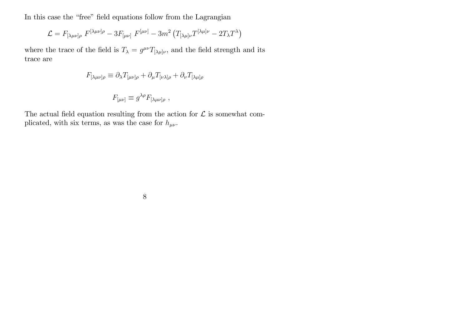In this case the "free" field equations follow from the Lagrangian

$$
\mathcal{L} = F_{\left[\lambda\mu\nu\right]\rho} F^{\left[\lambda\mu\nu\right]\rho} - 3F_{\left[\mu\nu\right]} F^{\left[\mu\nu\right]} - 3m^2 \left(T_{\left[\lambda\mu\right]\nu} T^{\left[\lambda\mu\right]\nu} - 2T_{\lambda} T^{\lambda}\right)
$$

where the trace of the field is  $T_{\lambda} = g^{\mu\nu} T_{[\lambda\mu]\nu}$ , and the field strength and its trace are

$$
F_{[\lambda\mu\nu]\rho} \equiv \partial_{\lambda} T_{[\mu\nu]\rho} + \partial_{\mu} T_{[\nu\lambda]\rho} + \partial_{\nu} T_{[\lambda\mu]\rho}
$$

$$
F_{[\mu\nu]} \equiv g^{\lambda\rho} F_{[\lambda\mu\nu]\rho} ,
$$

The actual field equation resulting from the action for  $\mathcal L$  is somewhat complicated, with six terms, as was the case for  $h_{\mu\nu}$ .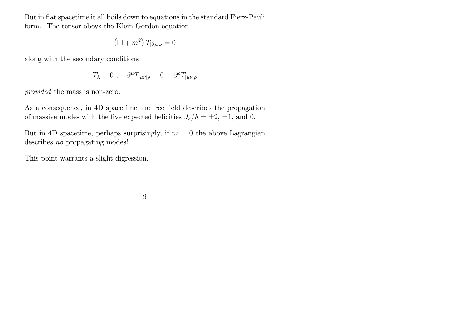But in flat spacetime it all boils down to equations in the standard Fierz-Pauli form. The tensor obeys the Klein-Gordon equation

$$
\left(\Box + m^2\right) T_{[\lambda\mu]\nu} = 0
$$

along with the secondary conditions

$$
T_{\lambda} = 0 , \quad \partial^{\mu} T_{[\mu \nu] \rho} = 0 = \partial^{\rho} T_{[\mu \nu] \rho}
$$

provided the mass is non-zero.

As a consequence, in 4D spacetime the free field describes the propagation of massive modes with the five expected helicities  $J_z/\hbar = \pm 2, \pm 1$ , and 0.

But in 4D spacetime, perhaps surprisingly, if  $m = 0$  the above Lagrangian describes no propagating modes!

This point warrants a slight digression.

$$
9 \\
$$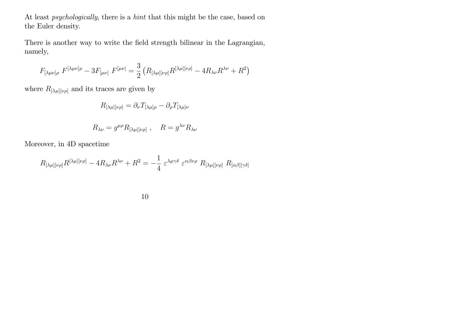At least psychologically, there is a hint that this might be the case, based on the Euler density.

There is another way to write the field strength bilinear in the Lagrangian, namely,

$$
F_{[\lambda\mu\nu]\rho} \ F^{[\lambda\mu\nu]\rho} - 3F_{[\mu\nu]} \ F^{[\mu\nu]} = \frac{3}{2} \left( R_{[\lambda\mu][\nu\rho]} R^{[\lambda\mu][\nu\rho]} - 4R_{\lambda\nu} R^{\lambda\nu} + R^2 \right)
$$

where  $R_{[\lambda\mu][\nu\rho]}$  and its traces are given by

$$
R_{[\lambda\mu][\nu\rho]} = \partial_{\nu} T_{[\lambda\mu]\rho} - \partial_{\rho} T_{[\lambda\mu]\nu}
$$

$$
R_{\lambda\nu} = g^{\mu\rho} R_{[\lambda\mu][\nu\rho]} \ , \quad R = g^{\lambda\nu} R_{\lambda\nu}
$$

Moreover, in 4D spacetime

$$
R_{[\lambda\mu][\nu\rho]}R^{[\lambda\mu][\nu\rho]} - 4R_{\lambda\nu}R^{\lambda\nu} + R^2 = -\frac{1}{4} \varepsilon^{\lambda\mu\gamma\delta} \varepsilon^{\alpha\beta\nu\rho} R_{[\lambda\mu][\nu\rho]} R_{[\alpha\beta][\gamma\delta]}
$$

10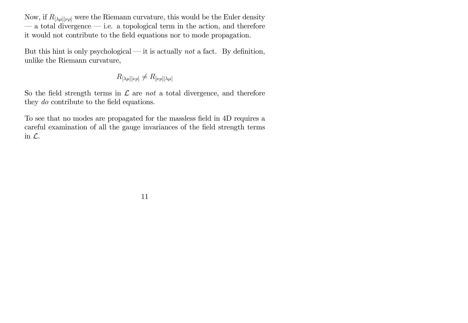Now, if  $R_{[\lambda\mu][\nu\rho]}$  were the Riemann curvature, this would be the Euler density  $\sim$  a total divergence  $\sim$  i.e. a topological term in the action, and therefore it would not contribute to the Öeld equations nor to mode propagation.

But this hint is only psychological  $\rightarrow$  it is actually not a fact. By definition, unlike the Riemann curvature,

$$
R_{[\lambda\mu][\nu\rho]}\neq R_{[\nu\rho][\lambda\mu]}
$$

So the field strength terms in  $\mathcal L$  are not a total divergence, and therefore they *do* contribute to the field equations.

To see that no modes are propagated for the massless field in 4D requires a careful examination of all the gauge invariances of the field strength terms in L.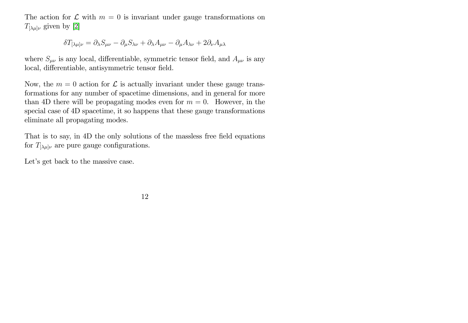The action for  $\mathcal L$  with  $m = 0$  is invariant under gauge transformations on  $T_{[\lambda\mu]\nu}$  given by [\[2\]](#page-22-1)

$$
\delta T_{[\lambda\mu]\nu} = \partial_{\lambda}S_{\mu\nu} - \partial_{\mu}S_{\lambda\nu} + \partial_{\lambda}A_{\mu\nu} - \partial_{\mu}A_{\lambda\nu} + 2\partial_{\nu}A_{\mu\lambda}
$$

where  $S_{\mu\nu}$  is any local, differentiable, symmetric tensor field, and  $A_{\mu\nu}$  is any local, differentiable, antisymmetric tensor field.

Now, the  $m = 0$  action for  $\mathcal L$  is actually invariant under these gauge transformations for any number of spacetime dimensions, and in general for more than 4D there will be propagating modes even for  $m = 0$ . However, in the special case of 4D spacetime, it so happens that these gauge transformations eliminate all propagating modes.

That is to say, in 4D the only solutions of the massless free field equations for  $T_{[\lambda\mu]\nu}$  are pure gauge configurations.

Let's get back to the massive case.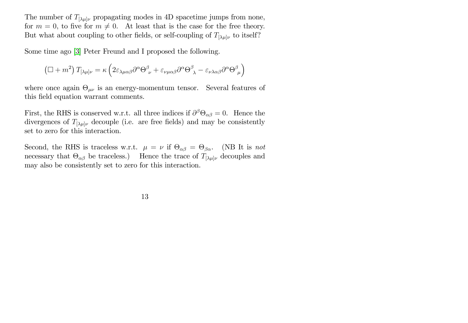The number of  $T_{[\lambda\mu]\nu}$  propagating modes in 4D spacetime jumps from none, for  $m = 0$ , to five for  $m \neq 0$ . At least that is the case for the free theory. But what about coupling to other fields, or self-coupling of  $T_{[\lambda\mu]\nu}$  to itself?

Some time ago [\[3\]](#page-22-2) Peter Freund and I proposed the following.

$$
\left(\Box+m^{2}\right)T_{[\lambda\mu]\nu}=\kappa\left(2\varepsilon_{\lambda\mu\alpha\beta}\partial^{\alpha}\Theta_{\ \nu}^{\beta}+\varepsilon_{\nu\mu\alpha\beta}\partial^{\alpha}\Theta_{\ \lambda}^{\beta}-\varepsilon_{\nu\lambda\alpha\beta}\partial^{\alpha}\Theta_{\ \mu}^{\beta}\right)
$$

where once again  $\Theta_{\mu\nu}$  is an energy-momentum tensor. Several features of this field equation warrant comments.

First, the RHS is conserved w.r.t. all three indices if  $\partial^{\beta} \Theta_{\alpha\beta} = 0$ . Hence the divergences of  $T_{[\lambda\mu]\nu}$  decouple (i.e. are free fields) and may be consistently set to zero for this interaction.

Second, the RHS is traceless w.r.t.  $\mu = \nu$  if  $\Theta_{\alpha\beta} = \Theta_{\beta\alpha}$ . (NB It is not necessary that  $\Theta_{\alpha\beta}$  be traceless.) Hence the trace of  $T_{[\lambda\mu]\nu}$  decouples and may also be consistently set to zero for this interaction.

13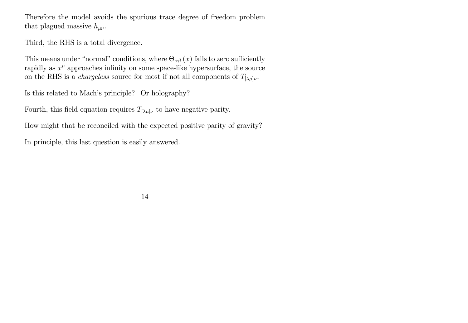Therefore the model avoids the spurious trace degree of freedom problem that plagued massive  $h_{\mu\nu}$ .

Third, the RHS is a total divergence.

This means under "normal" conditions, where  $\Theta_{\alpha\beta}(x)$  falls to zero sufficiently rapidly as  $x^{\mu}$  approaches infinity on some space-like hypersurface, the source on the RHS is a *chargeless* source for most if not all components of  $T_{\lbrack \lambda\mu \rbrack \nu}$ .

Is this related to Mach's principle? Or holography?

Fourth, this field equation requires  $T_{[\lambda\mu]\nu}$  to have negative parity.

How might that be reconciled with the expected positive parity of gravity?

In principle, this last question is easily answered.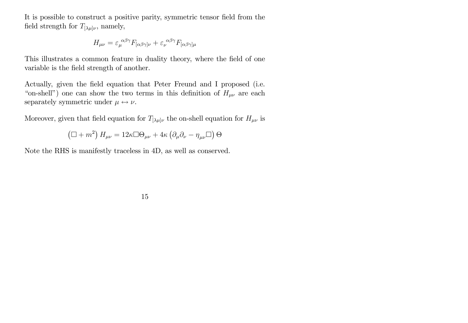It is possible to construct a positive parity, symmetric tensor field from the field strength for  $T_{\lbrack \lambda\mu \rbrack \nu}$ , namely,

$$
H_{\mu\nu} = \varepsilon_{\mu}^{\ \alpha\beta\gamma} F_{[\alpha\beta\gamma]\nu} + \varepsilon_{\nu}^{\ \alpha\beta\gamma} F_{[\alpha\beta\gamma]\mu}
$$

This illustrates a common feature in duality theory, where the field of one variable is the field strength of another.

Actually, given the field equation that Peter Freund and I proposed (i.e. "on-shell") one can show the two terms in this definition of  $H_{\mu\nu}$  are each separately symmetric under  $\mu \leftrightarrow \nu$ .

Moreover, given that field equation for  $T_{[\lambda\mu]\nu}$  the on-shell equation for  $H_{\mu\nu}$  is

$$
\left(\Box+m^{2}\right)H_{\mu\nu}=12\kappa\Box\Theta_{\mu\nu}+4\kappa\left(\partial_{\mu}\partial_{\nu}-\eta_{\mu\nu}\Box\right)\Theta
$$

Note the RHS is manifestly traceless in 4D, as well as conserved.

$$
15\quad
$$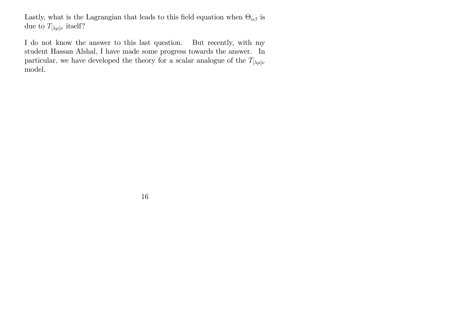Lastly, what is the Lagrangian that leads to this field equation when  $\Theta_{\alpha\beta}$  is due to  $T_{[\lambda\mu]\nu}$  itself?

I do not know the answer to this last question. But recently, with my student Hassan Alshal, I have made some progress towards the answer. In particular, we have developed the theory for a scalar analogue of the  $T_{[\lambda\mu]\nu}$ model.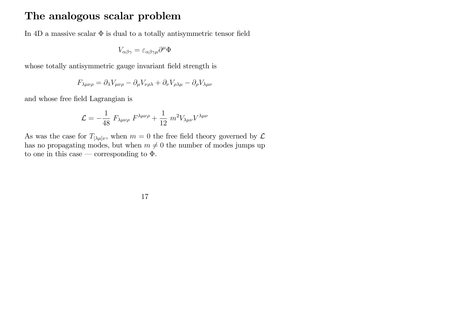#### The analogous scalar problem

In 4D a massive scalar  $\Phi$  is dual to a totally antisymmetric tensor field

$$
V_{\alpha\beta\gamma} = \varepsilon_{\alpha\beta\gamma\mu}\partial^{\mu}\Phi
$$

whose totally antisymmetric gauge invariant field strength is

$$
F_{\lambda\mu\nu\rho} = \partial_{\lambda} V_{\mu\nu\rho} - \partial_{\mu} V_{\nu\rho\lambda} + \partial_{\nu} V_{\rho\lambda\mu} - \partial_{\rho} V_{\lambda\mu\nu}
$$

and whose free Öeld Lagrangian is

$$
\mathcal{L} = -\frac{1}{48} F_{\lambda\mu\nu\rho} F^{\lambda\mu\nu\rho} + \frac{1}{12} m^2 V_{\lambda\mu\nu} V^{\lambda\mu\nu}
$$

As was the case for  $T_{\lbrack \lambda\mu \rbrack \nu}$ , when  $m=0$  the free field theory governed by  $\mathcal L$ has no propagating modes, but when  $m \neq 0$  the number of modes jumps up to one in this case – corresponding to  $\Phi$ .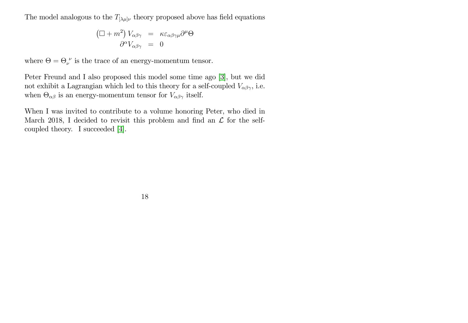The model analogous to the  $T_{\lbrack \lambda\mu \rbrack \nu}$  theory proposed above has field equations

$$
\left(\Box + m^2\right) V_{\alpha\beta\gamma} = \kappa \varepsilon_{\alpha\beta\gamma\mu} \partial^\mu \Theta
$$

$$
\partial^\alpha V_{\alpha\beta\gamma} = 0
$$

where  $\Theta = \Theta_{\nu}^{\ \nu}$  is the trace of an energy-momentum tensor.

Peter Freund and I also proposed this model some time ago [\[3\]](#page-22-2), but we did not exhibit a Lagrangian which led to this theory for a self-coupled  $V_{\alpha\beta\gamma}$ , i.e. when  $\Theta_{\alpha\beta}$  is an energy-momentum tensor for  $V_{\alpha\beta\gamma}$  itself.

When I was invited to contribute to a volume honoring Peter, who died in March 2018, I decided to revisit this problem and find an  $\mathcal L$  for the selfcoupled theory. I succeeded [\[4\]](#page-22-3).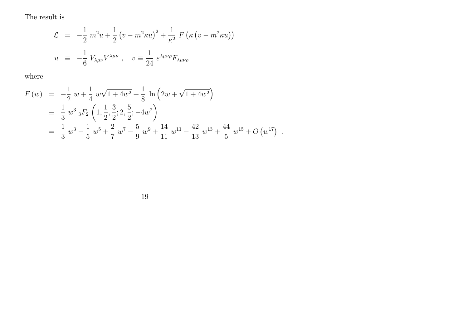The result is

$$
\mathcal{L} = -\frac{1}{2} m^2 u + \frac{1}{2} (v - m^2 \kappa u)^2 + \frac{1}{\kappa^2} F (\kappa (v - m^2 \kappa u))
$$
  

$$
u \equiv -\frac{1}{6} V_{\lambda \mu \nu} V^{\lambda \mu \nu} , \quad v \equiv \frac{1}{24} \varepsilon^{\lambda \mu \nu \rho} F_{\lambda \mu \nu \rho}
$$

where

$$
F(w) = -\frac{1}{2} w + \frac{1}{4} w \sqrt{1 + 4w^2} + \frac{1}{8} \ln \left( 2w + \sqrt{1 + 4w^2} \right)
$$
  
\n
$$
\equiv \frac{1}{3} w^3 {}_3F_2 \left( 1, \frac{1}{2}, \frac{3}{2}; 2, \frac{5}{2}; -4w^2 \right)
$$
  
\n
$$
= \frac{1}{3} w^3 - \frac{1}{5} w^5 + \frac{2}{7} w^7 - \frac{5}{9} w^9 + \frac{14}{11} w^{11} - \frac{42}{13} w^{13} + \frac{44}{5} w^{15} + O(w^{17}) .
$$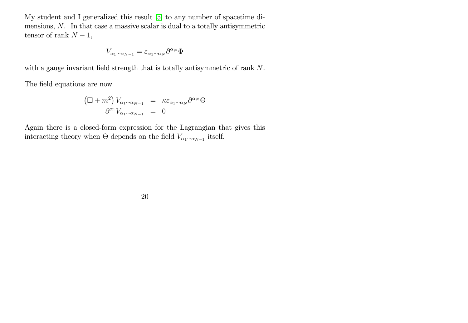My student and I generalized this result [\[5\]](#page-22-4) to any number of spacetime dimensions, N. In that case a massive scalar is dual to a totally antisymmetric tensor of rank  $N - 1$ ,

$$
V_{\alpha_1\cdots\alpha_{N-1}}=\varepsilon_{\alpha_1\cdots\alpha_N}\partial^{\alpha_N}\Phi
$$

with a gauge invariant field strength that is totally antisymmetric of rank  $N$ .

The field equations are now

$$
\left(\Box + m^2\right) V_{\alpha_1 \cdots \alpha_{N-1}} = \kappa \varepsilon_{\alpha_1 \cdots \alpha_N} \partial^{\alpha_N} \Theta
$$

$$
\partial^{\alpha_1} V_{\alpha_1 \cdots \alpha_{N-1}} = 0
$$

Again there is a closed-form expression for the Lagrangian that gives this interacting theory when  $\Theta$  depends on the field  $V_{\alpha_1\cdots\alpha_{N-1}}$  itself.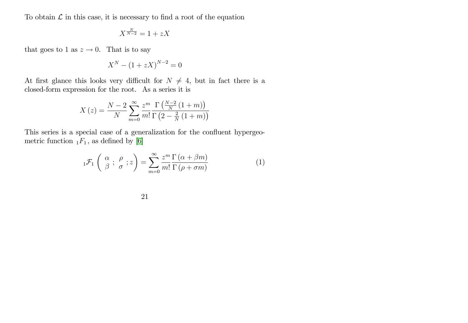To obtain  $\mathcal L$  in this case, it is necessary to find a root of the equation

$$
X^{\frac{N}{N-2}} = 1 + zX
$$

that goes to 1 as  $z \to 0$ . That is to say

$$
X^N - (1 + zX)^{N-2} = 0
$$

At first glance this looks very difficult for  $N \neq 4$ , but in fact there is a closed-form expression for the root. As a series it is

$$
X(z) = \frac{N-2}{N} \sum_{m=0}^{\infty} \frac{z^m}{m!} \frac{\Gamma\left(\frac{N-2}{N}\left(1+m\right)\right)}{\Gamma\left(2-\frac{2}{N}\left(1+m\right)\right)}
$$

This series is a special case of a generalization for the confluent hypergeometric function  $_1F_1$ , as defined by [\[6\]](#page-22-5)

$$
{}_{1}\mathcal{F}_{1}\left(\begin{array}{c} \alpha \\ \beta \end{array}; \frac{\rho}{\sigma}; z\right) = \sum_{m=0}^{\infty} \frac{z^{m}}{m!} \frac{\Gamma\left(\alpha + \beta m\right)}{\Gamma\left(\rho + \sigma m\right)} \tag{1}
$$

| I<br>i |  |
|--------|--|
|        |  |
|        |  |
|        |  |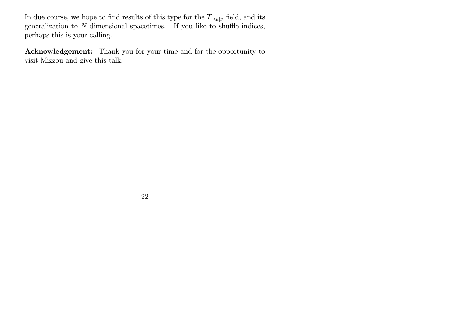In due course, we hope to find results of this type for the  $T_{[\lambda\mu]\nu}$  field, and its generalization to  $N$ -dimensional spacetimes. If you like to shuffle indices, perhaps this is your calling.

Acknowledgement: Thank you for your time and for the opportunity to visit Mizzou and give this talk.